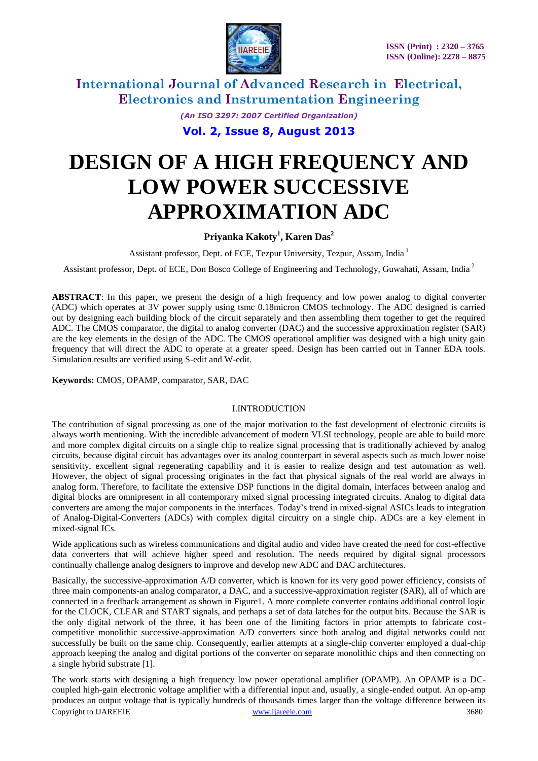

> *(An ISO 3297: 2007 Certified Organization)* **Vol. 2, Issue 8, August 2013**

# **DESIGN OF A HIGH FREQUENCY AND LOW POWER SUCCESSIVE APPROXIMATION ADC**

### **Priyanka Kakoty<sup>1</sup> , Karen Das<sup>2</sup>**

Assistant professor, Dept. of ECE, Tezpur University, Tezpur, Assam, India  $^1$ 

Assistant professor, Dept. of ECE, Don Bosco College of Engineering and Technology, Guwahati, Assam, India <sup>2</sup>

**ABSTRACT**: In this paper, we present the design of a high frequency and low power analog to digital converter (ADC) which operates at 3V power supply using tsmc 0.18micron CMOS technology. The ADC designed is carried out by designing each building block of the circuit separately and then assembling them together to get the required ADC. The CMOS comparator, the digital to analog converter (DAC) and the successive approximation register (SAR) are the key elements in the design of the ADC. The CMOS operational amplifier was designed with a high unity gain frequency that will direct the ADC to operate at a greater speed. Design has been carried out in Tanner EDA tools. Simulation results are verified using S-edit and W-edit.

**Keywords:** CMOS, OPAMP, comparator, SAR, DAC

#### I.INTRODUCTION

The contribution of signal processing as one of the major motivation to the fast development of electronic circuits is always worth mentioning. With the incredible advancement of modern VLSI technology, people are able to build more and more complex digital circuits on a single chip to realize signal processing that is traditionally achieved by analog circuits, because digital circuit has advantages over its analog counterpart in several aspects such as much lower noise sensitivity, excellent signal regenerating capability and it is easier to realize design and test automation as well. However, the object of signal processing originates in the fact that physical signals of the real world are always in analog form. Therefore, to facilitate the extensive DSP functions in the digital domain, interfaces between analog and digital blocks are omnipresent in all contemporary mixed signal processing integrated circuits. Analog to digital data converters are among the major components in the interfaces. Today"s trend in mixed-signal ASICs leads to integration of Analog-Digital-Converters (ADCs) with complex digital circuitry on a single chip. ADCs are a key element in mixed-signal ICs.

Wide applications such as wireless communications and digital audio and video have created the need for cost-effective data converters that will achieve higher speed and resolution. The needs required by digital signal processors continually challenge analog designers to improve and develop new ADC and DAC architectures.

Basically, the successive-approximation A/D converter, which is known for its very good power efficiency, consists of three main components-an analog comparator, a DAC, and a successive-approximation register (SAR), all of which are connected in a feedback arrangement as shown in Figure1. A more complete converter contains additional control logic for the CLOCK, CLEAR and START signals, and perhaps a set of data latches for the output bits. Because the SAR is the only digital network of the three, it has been one of the limiting factors in prior attempts to fabricate costcompetitive monolithic successive-approximation A/D converters since both analog and digital networks could not successfully be built on the same chip. Consequently, earlier attempts at a single-chip converter employed a dual-chip approach keeping the analog and digital portions of the converter on separate monolithic chips and then connecting on a single hybrid substrate [1].

Copyright to IJAREEIE [www.ijareeie.com](http://www.ijareeie.com/) 3680 The work starts with designing a high frequency low power operational amplifier (OPAMP). An OPAMP is a DCcoupled high-gain electronic voltage amplifier with a differential input and, usually, a single-ended output. An op-amp produces an output voltage that is typically hundreds of thousands times larger than the voltage difference between its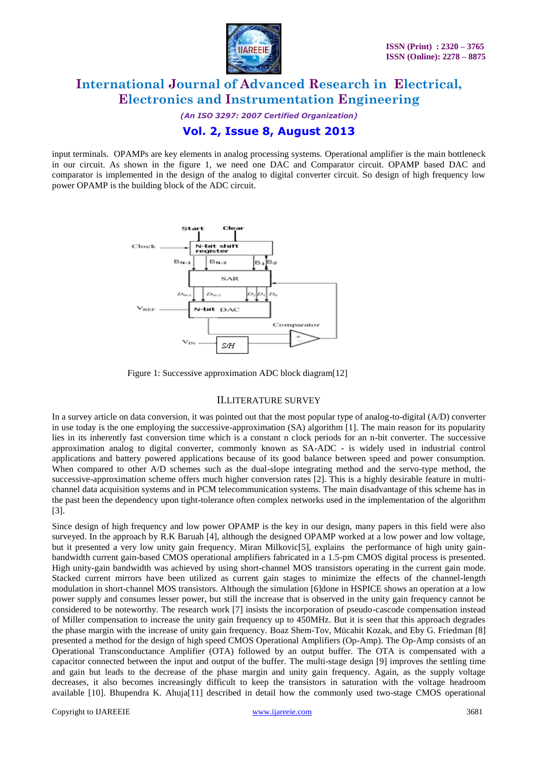

*(An ISO 3297: 2007 Certified Organization)* **Vol. 2, Issue 8, August 2013**

input terminals. OPAMPs are key elements in analog processing systems. Operational amplifier is the main bottleneck in our circuit. As shown in the figure 1, we need one DAC and Comparator circuit. OPAMP based DAC and comparator is implemented in the design of the analog to digital converter circuit. So design of high frequency low power OPAMP is the building block of the ADC circuit.



Figure 1: Successive approximation ADC block diagram[12]

### II.LITERATURE SURVEY

In a survey article on data conversion, it was pointed out that the most popular type of analog-to-digital (A/D) converter in use today is the one employing the successive-approximation (SA) algorithm [1]. The main reason for its popularity lies in its inherently fast conversion time which is a constant n clock periods for an n-bit converter. The successive approximation analog to digital converter, commonly known as SA-ADC - is widely used in industrial control applications and battery powered applications because of its good balance between speed and power consumption. When compared to other A/D schemes such as the dual-slope integrating method and the servo-type method, the successive-approximation scheme offers much higher conversion rates [2]. This is a highly desirable feature in multichannel data acquisition systems and in PCM telecommunication systems. The main disadvantage of this scheme has in the past been the dependency upon tight-tolerance often complex networks used in the implementation of the algorithm [3].

Since design of high frequency and low power OPAMP is the key in our design, many papers in this field were also surveyed. In the approach by R.K Baruah [4], although the designed OPAMP worked at a low power and low voltage, but it presented a very low unity gain frequency. Miran Milkovic[5], explains the performance of high unity gainbandwidth current gain-based CMOS operational amplifiers fabricated in a 1.5-pm CMOS digital process is presented. High unity-gain bandwidth was achieved by using short-channel MOS transistors operating in the current gain mode. Stacked current mirrors have been utilized as current gain stages to minimize the effects of the channel-length modulation in short-channel MOS transistors. Although the simulation [6]done in HSPICE shows an operation at a low power supply and consumes lesser power, but still the increase that is observed in the unity gain frequency cannot be considered to be noteworthy. The research work [7] insists the incorporation of pseudo-cascode compensation instead of Miller compensation to increase the unity gain frequency up to 450MHz. But it is seen that this approach degrades the phase margin with the increase of unity gain frequency. Boaz Shem-Tov, Mücahit Kozak, and Eby G. Friedman [8] presented a method for the design of high speed CMOS Operational Amplifiers (Op-Amp). The Op-Amp consists of an Operational Transconductance Amplifier (OTA) followed by an output buffer. The OTA is compensated with a capacitor connected between the input and output of the buffer. The multi-stage design [9] improves the settling time and gain but leads to the decrease of the phase margin and unity gain frequency. Again, as the supply voltage decreases, it also becomes increasingly difficult to keep the transistors in saturation with the voltage headroom available [10]. Bhupendra K. Ahuja[11] described in detail how the commonly used two-stage CMOS operational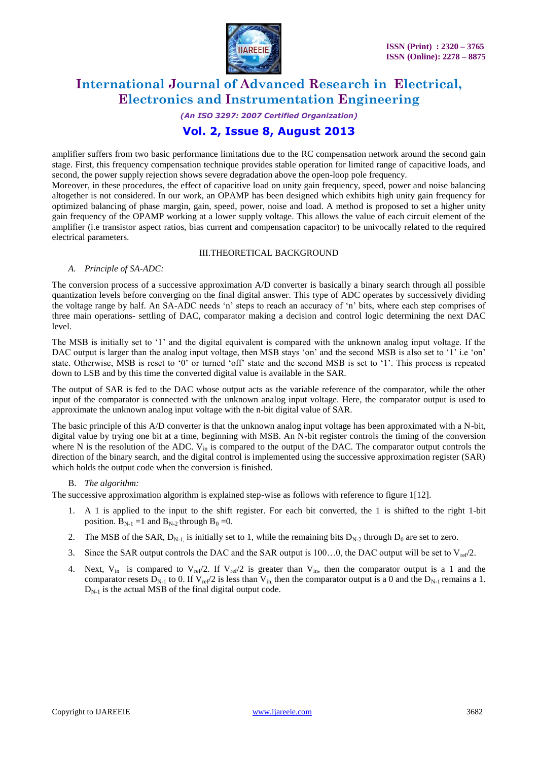

# *(An ISO 3297: 2007 Certified Organization)*

### **Vol. 2, Issue 8, August 2013**

amplifier suffers from two basic performance limitations due to the RC compensation network around the second gain stage. First, this frequency compensation technique provides stable operation for limited range of capacitive loads, and second, the power supply rejection shows severe degradation above the open-loop pole frequency.

Moreover, in these procedures, the effect of capacitive load on unity gain frequency, speed, power and noise balancing altogether is not considered. In our work, an OPAMP has been designed which exhibits high unity gain frequency for optimized balancing of phase margin, gain, speed, power, noise and load. A method is proposed to set a higher unity gain frequency of the OPAMP working at a lower supply voltage. This allows the value of each circuit element of the amplifier (i.e transistor aspect ratios, bias current and compensation capacitor) to be univocally related to the required electrical parameters.

#### III.THEORETICAL BACKGROUND

#### *A. Principle of SA-ADC:*

The conversion process of a successive approximation A/D converter is basically a binary search through all possible quantization levels before converging on the final digital answer. This type of ADC operates by successively dividing the voltage range by half. An SA-ADC needs "n" steps to reach an accuracy of "n" bits, where each step comprises of three main operations- settling of DAC, comparator making a decision and control logic determining the next DAC level.

The MSB is initially set to '1' and the digital equivalent is compared with the unknown analog input voltage. If the DAC output is larger than the analog input voltage, then MSB stays 'on' and the second MSB is also set to '1' i.e 'on' state. Otherwise, MSB is reset to '0' or turned 'off' state and the second MSB is set to '1'. This process is repeated down to LSB and by this time the converted digital value is available in the SAR.

The output of SAR is fed to the DAC whose output acts as the variable reference of the comparator, while the other input of the comparator is connected with the unknown analog input voltage. Here, the comparator output is used to approximate the unknown analog input voltage with the n-bit digital value of SAR.

The basic principle of this A/D converter is that the unknown analog input voltage has been approximated with a N-bit, digital value by trying one bit at a time, beginning with MSB. An N-bit register controls the timing of the conversion where N is the resolution of the ADC. V<sub>in</sub> is compared to the output of the DAC. The comparator output controls the direction of the binary search, and the digital control is implemented using the successive approximation register (SAR) which holds the output code when the conversion is finished.

#### B. *The algorithm:*

The successive approximation algorithm is explained step-wise as follows with reference to figure 1[12].

- 1. A 1 is applied to the input to the shift register. For each bit converted, the 1 is shifted to the right 1-bit position.  $B_{N-1} = 1$  and  $B_{N-2}$  through  $B_0 = 0$ .
- 2. The MSB of the SAR,  $D_{N-1}$  is initially set to 1, while the remaining bits  $D_{N-2}$  through  $D_0$  are set to zero.
- 3. Since the SAR output controls the DAC and the SAR output is 100...0, the DAC output will be set to  $V_{ref}/2$ .
- 4. Next,  $V_{in}$  is compared to  $V_{ref}/2$ . If  $V_{ref}/2$  is greater than  $V_{in}$ , then the comparator output is a 1 and the comparator resets  $D_{N-1}$  to 0. If  $V_{ref}/2$  is less than  $V_{in}$ , then the comparator output is a 0 and the  $D_{N-1}$  remains a 1.  $D_{N-1}$  is the actual MSB of the final digital output code.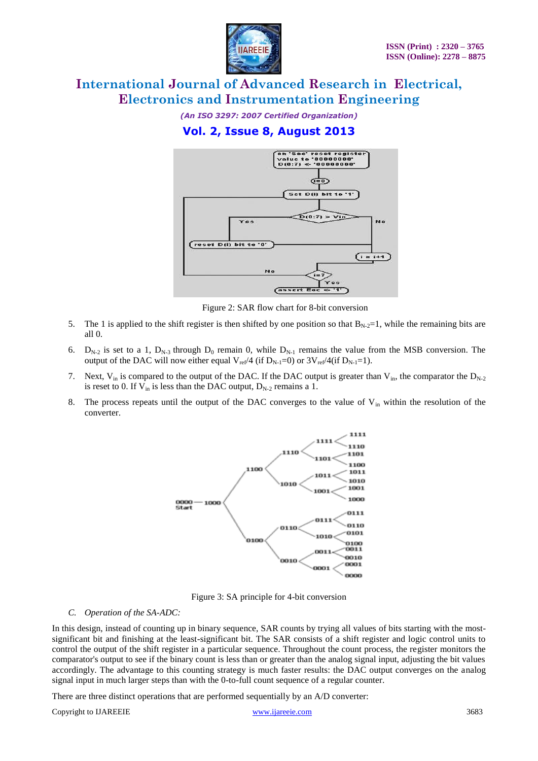

*(An ISO 3297: 2007 Certified Organization)*

### **Vol. 2, Issue 8, August 2013**



Figure 2: SAR flow chart for 8-bit conversion

- 5. The 1 is applied to the shift register is then shifted by one position so that  $B_{N-2}=1$ , while the remaining bits are all 0.
- 6.  $D_{N-2}$  is set to a 1,  $D_{N-3}$  through  $D_0$  remain 0, while  $D_{N-1}$  remains the value from the MSB conversion. The output of the DAC will now either equal  $V_{ref}/4$  (if  $D_{N-1}=0$ ) or  $3V_{ref}/4$  (if  $D_{N-1}=1$ ).
- 7. Next,  $V_{in}$  is compared to the output of the DAC. If the DAC output is greater than  $V_{in}$ , the comparator the  $D_{N-2}$ is reset to 0. If  $V_{in}$  is less than the DAC output,  $D_{N-2}$  remains a 1.
- 8. The process repeats until the output of the DAC converges to the value of  $V_{in}$  within the resolution of the converter.



Figure 3: SA principle for 4-bit conversion

#### *C. Operation of the SA-ADC:*

In this design, instead of counting up in binary sequence, SAR counts by trying all values of bits starting with the mostsignificant bit and finishing at the least-significant bit. The SAR consists of a shift register and logic control units to control the output of the shift register in a particular sequence. Throughout the count process, the register monitors the comparator's output to see if the binary count is less than or greater than the analog signal input, adjusting the bit values accordingly. The advantage to this counting strategy is much faster results: the DAC output converges on the analog signal input in much larger steps than with the 0-to-full count sequence of a regular counter.

There are three distinct operations that are performed sequentially by an A/D converter:

Copyright to IJAREEIE [www.ijareeie.com](http://www.ijareeie.com/) 3683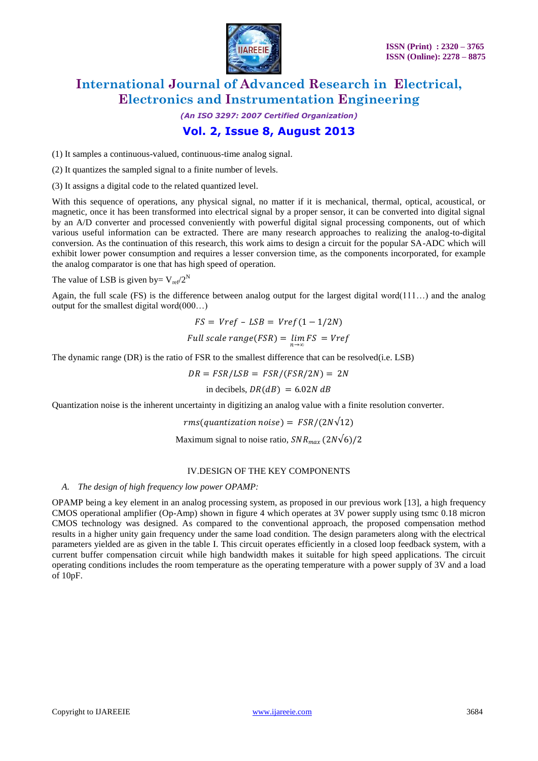

## *(An ISO 3297: 2007 Certified Organization)* **Vol. 2, Issue 8, August 2013**

(1) It samples a continuous-valued, continuous-time analog signal.

(2) It quantizes the sampled signal to a finite number of levels.

(3) It assigns a digital code to the related quantized level.

With this sequence of operations, any physical signal, no matter if it is mechanical, thermal, optical, acoustical, or magnetic, once it has been transformed into electrical signal by a proper sensor, it can be converted into digital signal by an A/D converter and processed conveniently with powerful digital signal processing components, out of which various useful information can be extracted. There are many research approaches to realizing the analog-to-digital conversion. As the continuation of this research, this work aims to design a circuit for the popular SA-ADC which will exhibit lower power consumption and requires a lesser conversion time, as the components incorporated, for example the analog comparator is one that has high speed of operation.

The value of LSB is given by=  $V_{ref}/2^N$ 

Again, the full scale (FS) is the difference between analog output for the largest digital word(111…) and the analog output for the smallest digital word(000…)

$$
FS = Vref - LSB = Vref(1 - 1/2N)
$$
  
Full scale range(FSR) =  $\lim_{n \to \infty} FS = Vref$ 

The dynamic range (DR) is the ratio of FSR to the smallest difference that can be resolved(i.e. LSB)

$$
DR = FSR/LSB = FSR/(FSR/2N) = 2N
$$

in decibels,  $DR(dB) = 6.02N dB$ 

Quantization noise is the inherent uncertainty in digitizing an analog value with a finite resolution converter.

 $rms( quantization noise) = FSR/(2N\sqrt{12})$ 

Maximum signal to noise ratio,  $SNR_{max}$  (2N $\sqrt{6}$ )/2

#### IV.DESIGN OF THE KEY COMPONENTS

#### *A. The design of high frequency low power OPAMP:*

OPAMP being a key element in an analog processing system, as proposed in our previous work [13], a high frequency CMOS operational amplifier (Op-Amp) shown in figure 4 which operates at 3V power supply using tsmc 0.18 micron CMOS technology was designed. As compared to the conventional approach, the proposed compensation method results in a higher unity gain frequency under the same load condition. The design parameters along with the electrical parameters yielded are as given in the table I. This circuit operates efficiently in a closed loop feedback system, with a current buffer compensation circuit while high bandwidth makes it suitable for high speed applications. The circuit operating conditions includes the room temperature as the operating temperature with a power supply of 3V and a load of 10pF.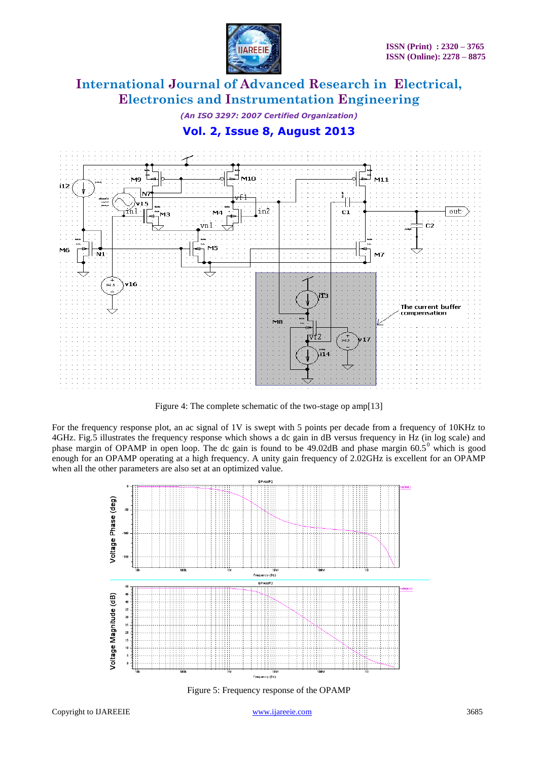

*(An ISO 3297: 2007 Certified Organization)*

### **Vol. 2, Issue 8, August 2013**



Figure 4: The complete schematic of the two-stage op amp[13]

For the frequency response plot, an ac signal of 1V is swept with 5 points per decade from a frequency of 10KHz to 4GHz. Fig.5 illustrates the frequency response which shows a dc gain in dB versus frequency in Hz (in log scale) and phase margin of OPAMP in open loop. The dc gain is found to be 49.02dB and phase margin 60.5<sup>0</sup> which is good enough for an OPAMP operating at a high frequency. A unity gain frequency of 2.02GHz is excellent for an OPAMP when all the other parameters are also set at an optimized value.



Figure 5: Frequency response of the OPAMP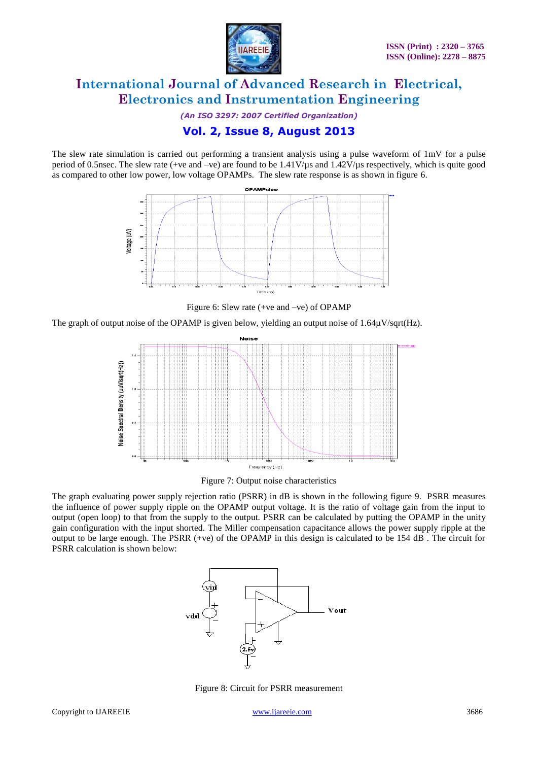

*(An ISO 3297: 2007 Certified Organization)* **Vol. 2, Issue 8, August 2013**

The slew rate simulation is carried out performing a transient analysis using a pulse waveform of 1mV for a pulse period of 0.5nsec. The slew rate (+ve and –ve) are found to be 1.41V/µs and 1.42V/µs respectively, which is quite good as compared to other low power, low voltage OPAMPs. The slew rate response is as shown in figure 6.



Figure 6: Slew rate (+ve and –ve) of OPAMP

The graph of output noise of the OPAMP is given below, yielding an output noise of  $1.64\mu\text{V/sqrt}(\text{Hz})$ .



Figure 7: Output noise characteristics

The graph evaluating power supply rejection ratio (PSRR) in dB is shown in the following figure 9. PSRR measures the influence of power supply ripple on the OPAMP output voltage. It is the ratio of voltage gain from the input to output (open loop) to that from the supply to the output. PSRR can be calculated by putting the OPAMP in the unity gain configuration with the input shorted. The Miller compensation capacitance allows the power supply ripple at the output to be large enough. The PSRR (+ve) of the OPAMP in this design is calculated to be 154 dB . The circuit for PSRR calculation is shown below:



Figure 8: Circuit for PSRR measurement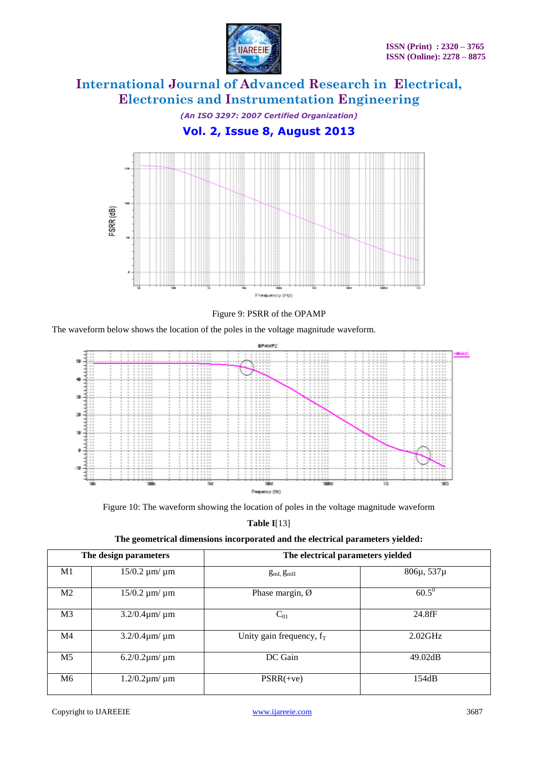

*(An ISO 3297: 2007 Certified Organization)* **Vol. 2, Issue 8, August 2013**





The waveform below shows the location of the poles in the voltage magnitude waveform.



Figure 10: The waveform showing the location of poles in the voltage magnitude waveform

**Table I**[13]

| The design parameters |                         | The electrical parameters yielded |            |  |  |
|-----------------------|-------------------------|-----------------------------------|------------|--|--|
| M1                    | $15/0.2 \mu m / \mu m$  | $g_{mI}$ , $g_{mII}$              | 806µ, 537µ |  |  |
| M <sub>2</sub>        | $15/0.2 \mu m / \mu m$  | Phase margin, $\emptyset$         | $60.5^0$   |  |  |
| M <sub>3</sub>        | $3.2/0.4 \mu m / \mu m$ | $C_{01}$                          | 24.8fF     |  |  |
| M <sub>4</sub>        | $3.2/0.4 \mu m / \mu m$ | Unity gain frequency, $f_T$       | $2.02$ GHz |  |  |
| M <sub>5</sub>        | $6.2/0.2 \mu m / \mu m$ | DC Gain                           | 49.02dB    |  |  |
| M <sub>6</sub>        | $1.2/0.2 \mu m / \mu m$ | $PSRR(+ve)$                       | 154dB      |  |  |

#### **The geometrical dimensions incorporated and the electrical parameters yielded:**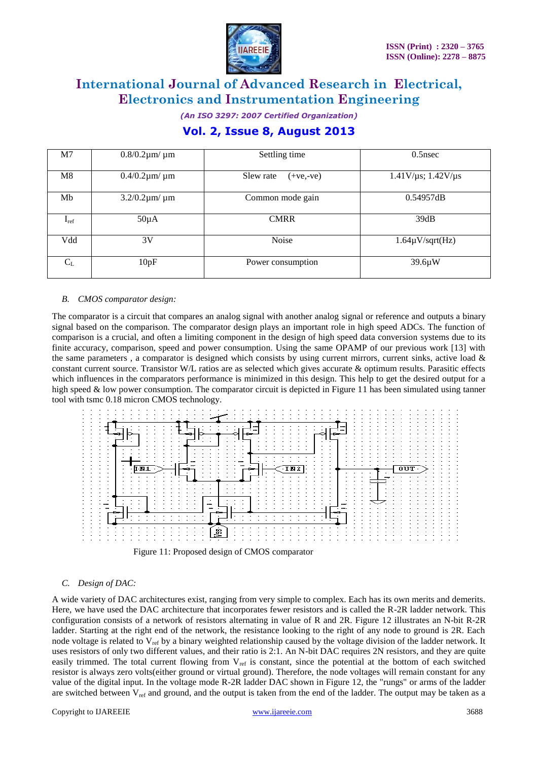

*(An ISO 3297: 2007 Certified Organization)*

### **Vol. 2, Issue 8, August 2013**

| M <sub>7</sub> | $0.8/0.2 \mu m / \mu m$ | Settling time            | 0.5nsec                              |
|----------------|-------------------------|--------------------------|--------------------------------------|
| M8             | $0.4/0.2 \mu m / \mu m$ | Slew rate<br>$(+ve,-ve)$ | $1.41$ V/ $\mu$ s; $1.42$ V/ $\mu$ s |
| Mb             | $3.2/0.2 \mu m / \mu m$ | Common mode gain         | 0.54957dB                            |
| $I_{ref}$      | $50\mu A$               | <b>CMRR</b>              | 39dB                                 |
| Vdd            | 3V                      | Noise                    | $1.64\mu V/sqrt(Hz)$                 |
| $C_{L}$        | 10pF                    | Power consumption        | $39.6\mu W$                          |

#### *B. CMOS comparator design:*

The comparator is a circuit that compares an analog signal with another analog signal or reference and outputs a binary signal based on the comparison. The comparator design plays an important role in high speed ADCs. The function of comparison is a crucial, and often a limiting component in the design of high speed data conversion systems due to its finite accuracy, comparison, speed and power consumption. Using the same OPAMP of our previous work [13] with the same parameters, a comparator is designed which consists by using current mirrors, current sinks, active load  $\&$ constant current source. Transistor W/L ratios are as selected which gives accurate & optimum results. Parasitic effects which influences in the comparators performance is minimized in this design. This help to get the desired output for a high speed & low power consumption. The comparator circuit is depicted in Figure 11 has been simulated using tanner tool with tsmc 0.18 micron CMOS technology.





### *C. Design of DAC:*

A wide variety of DAC architectures exist, ranging from very simple to complex. Each has its own merits and demerits. Here, we have used the DAC architecture that incorporates fewer resistors and is called the R-2R ladder network. This configuration consists of a network of resistors alternating in value of R and 2R. Figure 12 illustrates an N-bit R-2R ladder. Starting at the right end of the network, the resistance looking to the right of any node to ground is 2R. Each node voltage is related to  $V_{ref}$  by a binary weighted relationship caused by the voltage division of the ladder network. It uses resistors of only two different values, and their ratio is 2:1. An N-bit DAC requires 2N resistors, and they are quite easily trimmed. The total current flowing from  $V_{ref}$  is constant, since the potential at the bottom of each switched resistor is always zero volts(either ground or virtual ground). Therefore, the node voltages will remain constant for any value of the digital input. In the voltage mode R-2R ladder DAC shown in Figure 12, the "rungs" or arms of the ladder are switched between  $V_{ref}$  and ground, and the output is taken from the end of the ladder. The output may be taken as a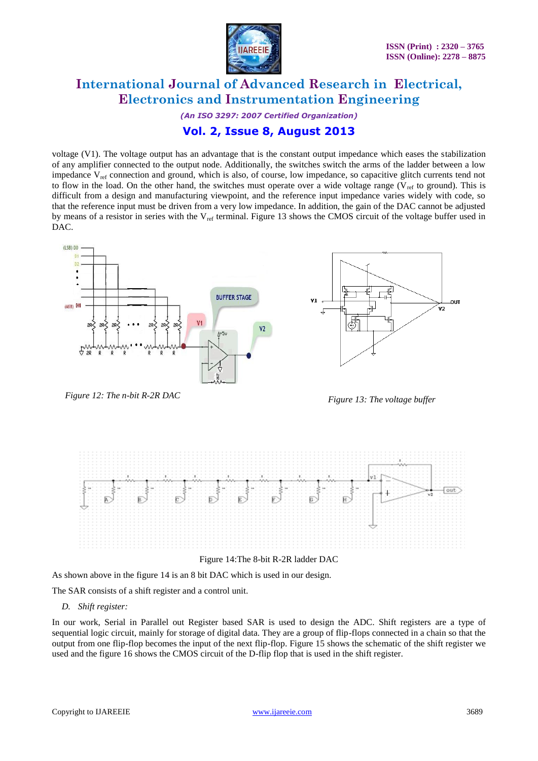

*(An ISO 3297: 2007 Certified Organization)* **Vol. 2, Issue 8, August 2013**

voltage (V1). The voltage output has an advantage that is the constant output impedance which eases the stabilization of any amplifier connected to the output node. Additionally, the switches switch the arms of the ladder between a low impedance V<sub>ref</sub> connection and ground, which is also, of course, low impedance, so capacitive glitch currents tend not to flow in the load. On the other hand, the switches must operate over a wide voltage range ( $V_{ref}$  to ground). This is difficult from a design and manufacturing viewpoint, and the reference input impedance varies widely with code, so that the reference input must be driven from a very low impedance. In addition, the gain of the DAC cannot be adjusted by means of a resistor in series with the  $V_{ref}$  terminal. Figure 13 shows the CMOS circuit of the voltage buffer used in DAC.



*Figure 12: The n-bit R-2R DAC Figure 13: The voltage buffer*



Figure 14:The 8-bit R-2R ladder DAC

As shown above in the figure 14 is an 8 bit DAC which is used in our design.

The SAR consists of a shift register and a control unit.

#### *D. Shift register:*

In our work, Serial in Parallel out Register based SAR is used to design the ADC. Shift registers are a type of sequential logic circuit, mainly for storage of digital data. They are a group of flip-flops connected in a chain so that the output from one flip-flop becomes the input of the next flip-flop. Figure 15 shows the schematic of the shift register we used and the figure 16 shows the CMOS circuit of the D-flip flop that is used in the shift register.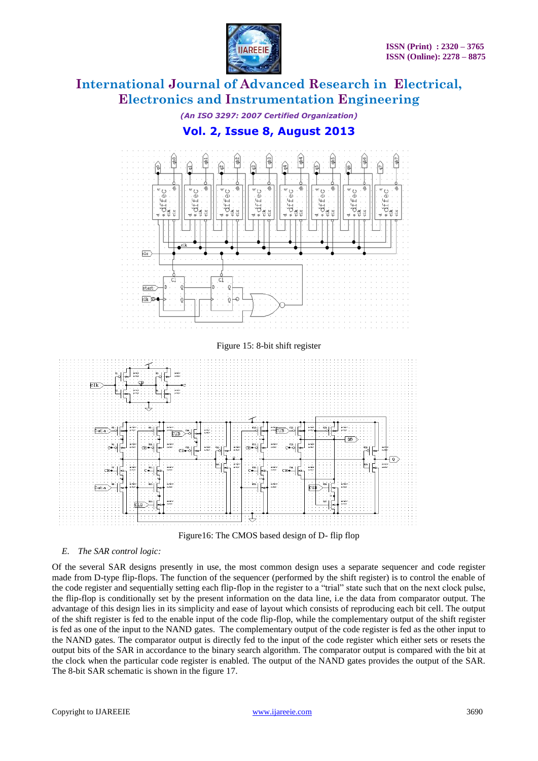

*(An ISO 3297: 2007 Certified Organization)*

### **Vol. 2, Issue 8, August 2013**





#### *E. The SAR control logic:*

Of the several SAR designs presently in use, the most common design uses a separate sequencer and code register made from D-type flip-flops. The function of the sequencer (performed by the shift register) is to control the enable of the code register and sequentially setting each flip-flop in the register to a "trial" state such that on the next clock pulse, the flip-flop is conditionally set by the present information on the data line, i.e the data from comparator output. The advantage of this design lies in its simplicity and ease of layout which consists of reproducing each bit cell. The output of the shift register is fed to the enable input of the code flip-flop, while the complementary output of the shift register is fed as one of the input to the NAND gates. The complementary output of the code register is fed as the other input to the NAND gates. The comparator output is directly fed to the input of the code register which either sets or resets the output bits of the SAR in accordance to the binary search algorithm. The comparator output is compared with the bit at the clock when the particular code register is enabled. The output of the NAND gates provides the output of the SAR. The 8-bit SAR schematic is shown in the figure 17.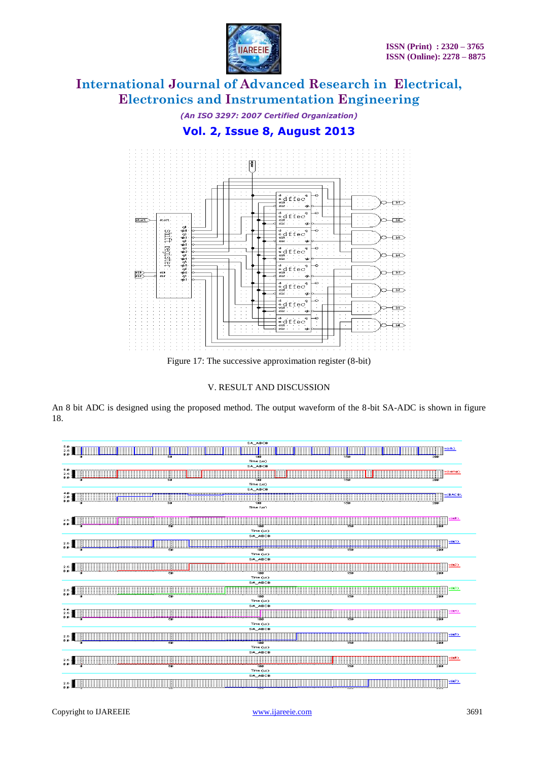

*(An ISO 3297: 2007 Certified Organization)*

### **Vol. 2, Issue 8, August 2013**



Figure 17: The successive approximation register (8-bit)

### V. RESULT AND DISCUSSION

An 8 bit ADC is designed using the proposed method. The output waveform of the 8-bit SA-ADC is shown in figure 18.

| <b>SALABOR</b><br>111111                                       |
|----------------------------------------------------------------|
| 5.8<br>2.5<br>8.8                                              |
| 180<br>150<br>Time (kg)                                        |
| SA_ABCB                                                        |
|                                                                |
| 25<br>150<br>50<br>789<br>200                                  |
| Time (i.s.)                                                    |
| <b>SALABOR</b>                                                 |
|                                                                |
| 150<br>199<br>700<br>Time (Art)                                |
|                                                                |
| <u> Epitiminin HH</u>                                          |
| .<br>111211<br>11177<br>w<br>186<br>138<br>วรร                 |
| Time (us)                                                      |
| SA_ABCB                                                        |
| vde1)                                                          |
| 장치<br>貓<br>155<br>ब                                            |
| Time (us)<br>SA_ABCB                                           |
| 640                                                            |
| रुक<br>786<br>100<br>299                                       |
| Time (us)                                                      |
| SA_ABCB                                                        |
| rós35<br>全房                                                    |
| 166<br>156<br>रक<br>299                                        |
| Time (us)<br>SA_ABCR                                           |
| <b>*******</b>                                                 |
| रह<br>155<br>186<br>त्रक                                       |
| Time (us)                                                      |
| <b>SALABCB</b>                                                 |
| 10050                                                          |
| 清菜園<br><b></b><br>100<br>$\overline{\mathbf{z}}$<br>150<br>290 |
| Time (us)                                                      |
| <b>SALABCB</b>                                                 |
|                                                                |
| $50^{\circ}$<br>100<br>150<br>299<br>Time (us)                 |
| <b>SALABCB</b>                                                 |
| voets                                                          |
| $-1$                                                           |